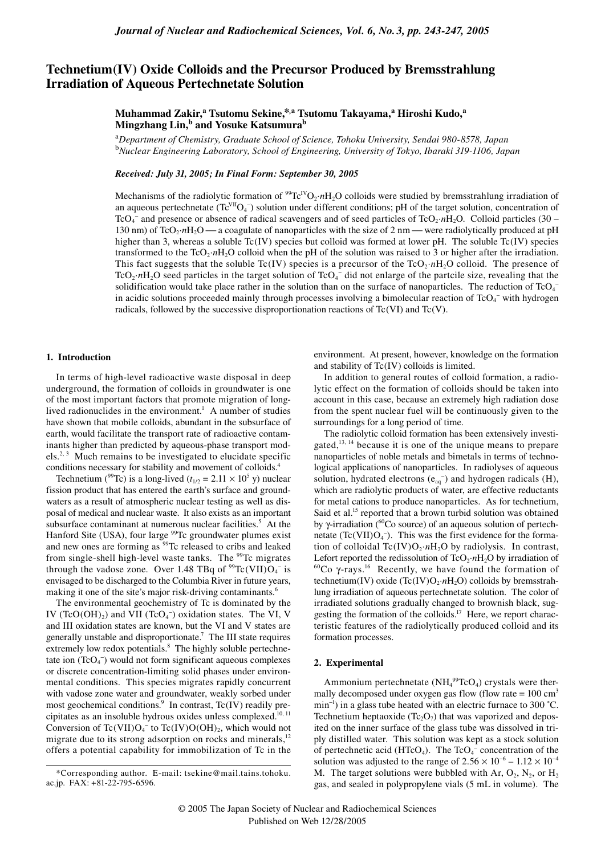# **Technetium(IV) Oxide Colloids and the Precursor Produced by Bremsstrahlung Irradiation of Aqueous Pertechnetate Solution**

**Muhammad Zakir,<sup>a</sup> Tsutomu Sekine,\*,a Tsutomu Takayama,<sup>a</sup> Hiroshi Kudo,<sup>a</sup> Mingzhang Lin,b and Yosuke Katsumurab**

<sup>a</sup>*Department of Chemistry, Graduate School of Science, Tohoku University, Sendai 980-8578, Japan* <sup>b</sup>*Nuclear Engineering Laboratory, School of Engineering, University of Tokyo, Ibaraki 319-1106, Japan*

# *Received: July 31, 2005; In Final Form: September 30, 2005*

Mechanisms of the radiolytic formation of <sup>99</sup>Tc<sup>IV</sup>O<sub>2</sub>·*nH*<sub>2</sub>O colloids were studied by bremsstrahlung irradiation of an aqueous pertechnetate ( $Tc^{VII}O_4^-$ ) solution under different conditions; pH of the target solution, concentration of TcO<sub>4</sub><sup>−</sup> and presence or absence of radical scavengers and of seed particles of TcO<sub>2</sub>·*n*H<sub>2</sub>O. Colloid particles (30 – 130 nm) of TcO<sub>2</sub>·*nH*<sub>2</sub>O — a coagulate of nanoparticles with the size of 2 nm — were radiolytically produced at pH higher than 3, whereas a soluble  $Tc(IV)$  species but colloid was formed at lower pH. The soluble  $Tc(IV)$  species transformed to the TcO<sub>2</sub>·*n*H<sub>2</sub>O colloid when the pH of the solution was raised to 3 or higher after the irradiation. This fact suggests that the soluble  $Tc(IV)$  species is a precursor of the  $TcO_2 \cdot nH_2O$  colloid. The presence of TcO<sub>2</sub>· $nH_2O$  seed particles in the target solution of TcO<sub>4</sub><sup>-</sup> did not enlarge of the partcile size, revealing that the solidification would take place rather in the solution than on the surface of nanoparticles. The reduction of  $TcO<sub>4</sub>$ in acidic solutions proceeded mainly through processes involving a bimolecular reaction of TcO<sub>4</sub><sup>-</sup> with hydrogen radicals, followed by the successive disproportionation reactions of  $Tc(VI)$  and  $Tc(V)$ .

### **1. Introduction**

In terms of high-level radioactive waste disposal in deep underground, the formation of colloids in groundwater is one of the most important factors that promote migration of longlived radionuclides in the environment.<sup>1</sup> A number of studies have shown that mobile colloids, abundant in the subsurface of earth, would facilitate the transport rate of radioactive contaminants higher than predicted by aqueous-phase transport mod $els.<sup>2,3</sup>$  Much remains to be investigated to elucidate specific conditions necessary for stability and movement of colloids.4

Technetium (<sup>99</sup>Tc) is a long-lived ( $t_{1/2} = 2.11 \times 10^5$  y) nuclear fission product that has entered the earth's surface and groundwaters as a result of atmospheric nuclear testing as well as disposal of medical and nuclear waste. It also exists as an important subsurface contaminant at numerous nuclear facilities.<sup>5</sup> At the Hanford Site (USA), four large  $99$ Tc groundwater plumes exist and new ones are forming as <sup>99</sup>Tc released to cribs and leaked from single-shell high-level waste tanks. The <sup>99</sup>Tc migrates through the vadose zone. Over 1.48 TBq of  $^{99}$ Tc(VII)O<sub>4</sub><sup>-</sup> is envisaged to be discharged to the Columbia River in future years, making it one of the site's major risk-driving contaminants.<sup>6</sup>

The environmental geochemistry of Tc is dominated by the IV (TcO(OH)<sub>2</sub>) and VII (TcO<sub>4</sub><sup>-</sup>) oxidation states. The VI, V and III oxidation states are known, but the VI and V states are generally unstable and disproportionate.<sup>7</sup> The III state requires extremely low redox potentials.<sup>8</sup> The highly soluble pertechnetate ion  $(TcO<sub>4</sub><sup>-</sup>)$  would not form significant aqueous complexes or discrete concentration-limiting solid phases under environmental conditions. This species migrates rapidly concurrent with vadose zone water and groundwater, weakly sorbed under most geochemical conditions.<sup>9</sup> In contrast, Tc(IV) readily precipitates as an insoluble hydrous oxides unless complexed.<sup>10, 11</sup> Conversion of  $Tc(VII)O<sub>4</sub><sup>-</sup>$  to  $Tc(IV)O(OH)<sub>2</sub>$ , which would not migrate due to its strong adsorption on rocks and minerals, $12$ offers a potential capability for immobilization of Tc in the environment. At present, however, knowledge on the formation and stability of Tc(IV) colloids is limited.

In addition to general routes of colloid formation, a radiolytic effect on the formation of colloids should be taken into account in this case, because an extremely high radiation dose from the spent nuclear fuel will be continuously given to the surroundings for a long period of time.

The radiolytic colloid formation has been extensively investigated, $13, 14$  because it is one of the unique means to prepare nanoparticles of noble metals and bimetals in terms of technological applications of nanoparticles. In radiolyses of aqueous solution, hydrated electrons  $(e_{aq}^-)$  and hydrogen radicals (H), which are radiolytic products of water, are effective reductants for metal cations to produce nanoparticles. As for technetium, Said et al.<sup>15</sup> reported that a brown turbid solution was obtained by γ-irradiation (60Co source) of an aqueous solution of pertechnetate  $(Tc(VII)O<sub>4</sub><sup>-</sup>)$ . This was the first evidence for the formation of colloidal  $Tc(IV)O_2 \cdot nH_2O$  by radiolysis. In contrast, Lefort reported the redissolution of TcO<sub>2</sub>·*nH*<sub>2</sub>O by irradiation of <sup>60</sup>Co  $\gamma$ -rays.<sup>16</sup> Recently, we have found the formation of technetium(IV) oxide (Tc(IV) $O_2 \cdot nH_2O$ ) colloids by bremsstrahlung irradiation of aqueous pertechnetate solution. The color of irradiated solutions gradually changed to brownish black, suggesting the formation of the colloids.<sup>17</sup> Here, we report characteristic features of the radiolytically produced colloid and its formation processes.

# **2. Experimental**

Ammonium pertechnetate ( $NH_4^{99}$ TcO<sub>4</sub>) crystals were thermally decomposed under oxygen gas flow (flow rate =  $100 \text{ cm}^3$ ) min<sup>-1</sup>) in a glass tube heated with an electric furnace to 300 °C. Technetium heptaoxide  $(Tc_2O_7)$  that was vaporized and deposited on the inner surface of the glass tube was dissolved in triply distilled water. This solution was kept as a stock solution of pertechnetic acid (HTcO<sub>4</sub>). The TcO<sub>4</sub><sup>-</sup> concentration of the solution was adjusted to the range of  $2.56 \times 10^{-6} - 1.12 \times 10^{-4}$ M. The target solutions were bubbled with Ar,  $O_2$ , N<sub>2</sub>, or H<sub>2</sub> gas, and sealed in polypropylene vials (5 mL in volume). The

<sup>\*</sup>Corresponding author. E-mail: tsekine@mail.tains.tohoku. ac.jp. FAX: +81-22-795-6596.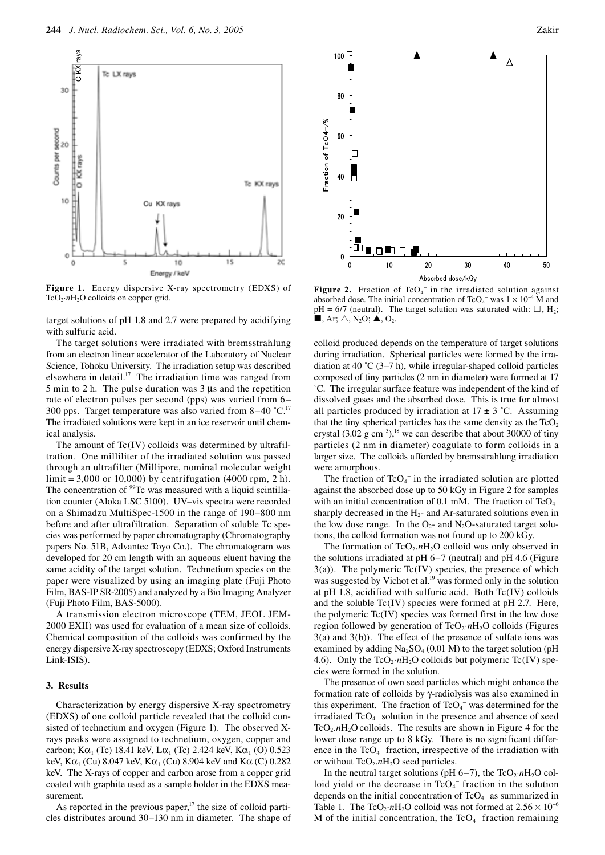

**Figure 1.** Energy dispersive X-ray spectrometry (EDXS) of **Figure 2.** Fraction of TcO<sub>4</sub> absorbed dose. The initial conc

target solutions of pH 1.8 and 2.7 were prepared by acidifying with sulfuric acid.

The target solutions were irradiated with bremsstrahlung from an electron linear accelerator of the Laboratory of Nuclear Science, Tohoku University. The irradiation setup was described elsewhere in detail.<sup>17</sup> The irradiation time was ranged from 5 min to 2 h. The pulse duration was 3 µs and the repetition rate of electron pulses per second (pps) was varied from 6– 300 pps. Target temperature was also varied from  $8-40$  °C.<sup>17</sup> The irradiated solutions were kept in an ice reservoir until chemical analysis.

The amount of Tc(IV) colloids was determined by ultrafiltration. One milliliter of the irradiated solution was passed through an ultrafilter (Millipore, nominal molecular weight limit = 3,000 or 10,000) by centrifugation (4000 rpm, 2 h). The concentration of <sup>99</sup>Tc was measured with a liquid scintillation counter (Aloka LSC 5100). UV–vis spectra were recorded on a Shimadzu MultiSpec-1500 in the range of 190–800 nm before and after ultrafiltration. Separation of soluble Tc species was performed by paper chromatography (Chromatography papers No. 51B, Advantec Toyo Co.). The chromatogram was developed for 20 cm length with an aqueous eluent having the same acidity of the target solution. Technetium species on the paper were visualized by using an imaging plate (Fuji Photo Film, BAS-IP SR-2005) and analyzed by a Bio Imaging Analyzer (Fuji Photo Film, BAS-5000).

A transmission electron microscope (TEM, JEOL JEM-2000 EXII) was used for evaluation of a mean size of colloids. Chemical composition of the colloids was confirmed by the energy dispersive X-ray spectroscopy (EDXS; Oxford Instruments Link-ISIS).

#### **3. Results**

Characterization by energy dispersive X-ray spectrometry (EDXS) of one colloid particle revealed that the colloid consisted of technetium and oxygen (Figure 1). The observed Xrays peaks were assigned to technetium, oxygen, copper and carbon; K $\alpha_1$  (Tc) 18.41 keV, L $\alpha_1$  (Tc) 2.424 keV, K $\alpha_1$  (O) 0.523 keV,  $K\alpha_1$  (Cu) 8.047 keV,  $K\alpha_1$  (Cu) 8.904 keV and  $K\alpha$  (C) 0.282 keV. The X-rays of copper and carbon arose from a copper grid coated with graphite used as a sample holder in the EDXS measurement.

As reported in the previous paper,<sup>17</sup> the size of colloid particles distributes around 30–130 nm in diameter. The shape of



− in the irradiated solution against absorbed dose. The initial concentration of TcO<sub>4</sub><sup>-</sup> was  $1 \times 10^{-4}$  M and  $pH = 6/7$  (neutral). The target solution was saturated with:  $\Box$ , H<sub>2</sub>;  $\blacksquare$ , Ar;  $\triangle$ , N<sub>2</sub>O;  $\blacktriangle$ , O<sub>2</sub>.

colloid produced depends on the temperature of target solutions during irradiation. Spherical particles were formed by the irradiation at 40  $\degree$ C (3–7 h), while irregular-shaped colloid particles composed of tiny particles (2 nm in diameter) were formed at 17 ˚C. The irregular surface feature was independent of the kind of dissolved gases and the absorbed dose. This is true for almost all particles produced by irradiation at  $17 \pm 3$  °C. Assuming that the tiny spherical particles has the same density as the  $TcO<sub>2</sub>$ crystal  $(3.02 \text{ g cm}^{-3})$ ,<sup>18</sup> we can describe that about 30000 of tiny particles (2 nm in diameter) coagulate to form colloids in a larger size. The colloids afforded by bremsstrahlung irradiation were amorphous.

The fraction of  $TcO<sub>4</sub><sup>-</sup>$  in the irradiated solution are plotted against the absorbed dose up to 50 kGy in Figure 2 for samples with an initial concentration of 0.1 mM. The fraction of  $TcO<sub>4</sub>$ sharply decreased in the  $H_2$ - and Ar-saturated solutions even in the low dose range. In the  $O<sub>2</sub>$ - and N<sub>2</sub>O-saturated target solutions, the colloid formation was not found up to 200 kGy.

The formation of  $TcO_2.nH_2O$  colloid was only observed in the solutions irradiated at pH 6–7 (neutral) and pH 4.6 (Figure  $3(a)$ ). The polymeric Tc(IV) species, the presence of which was suggested by Vichot et al.<sup>19</sup> was formed only in the solution at pH 1.8, acidified with sulfuric acid. Both Tc(IV) colloids and the soluble Tc(IV) species were formed at pH 2.7. Here, the polymeric Tc(IV) species was formed first in the low dose region followed by generation of TcO<sub>2</sub>·*n*H<sub>2</sub>O colloids (Figures 3(a) and 3(b)). The effect of the presence of sulfate ions was examined by adding  $Na<sub>2</sub>SO<sub>4</sub> (0.01 M)$  to the target solution (pH 4.6). Only the  $TcO_2 \cdot nH_2O$  colloids but polymeric  $Tc(IV)$  species were formed in the solution.

The presence of own seed particles which might enhance the formation rate of colloids by γ-radiolysis was also examined in this experiment. The fraction of  $TcO<sub>4</sub>$ <sup>-</sup> was determined for the irradiated TcO<sub>4</sub><sup>-</sup> solution in the presence and absence of seed  $TcO<sub>2</sub>.nH<sub>2</sub>O$  colloids. The results are shown in Figure 4 for the lower dose range up to 8 kGy. There is no significant difference in the  $TcO<sub>4</sub>^-$  fraction, irrespective of the irradiation with or without TcO<sub>2</sub>.nH<sub>2</sub>O seed particles.

In the neutral target solutions (pH  $6-7$ ), the TcO<sub>2</sub>·*n*H<sub>2</sub>O colloid yield or the decrease in  $TcO<sub>4</sub>$ <sup>-</sup> fraction in the solution depends on the initial concentration of  $TcO<sub>4</sub><sup>-</sup>$  as summarized in Table 1. The TcO<sub>2</sub>·*n*H<sub>2</sub>O colloid was not formed at  $2.56 \times 10^{-6}$ M of the initial concentration, the  $TcO<sub>4</sub><sup>-</sup>$  fraction remaining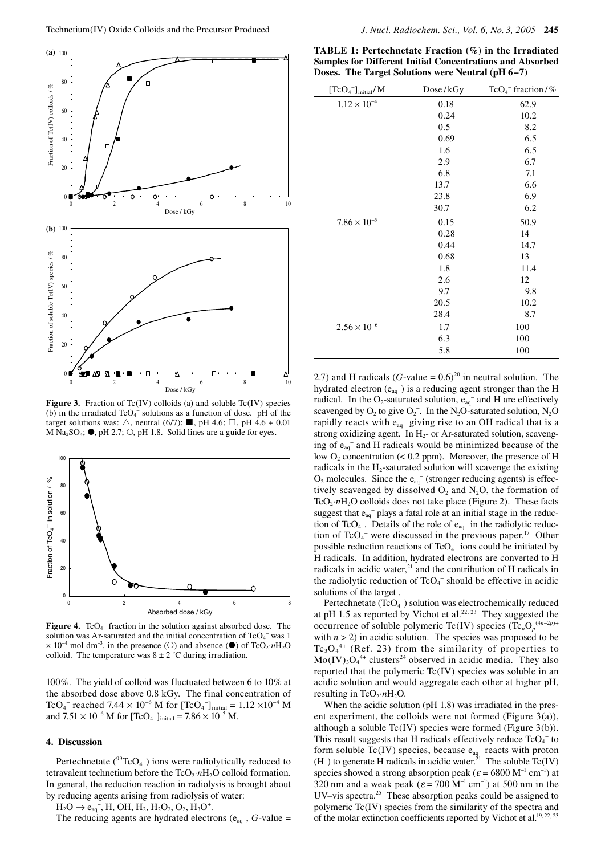

**Figure 3.** Fraction of Tc(IV) colloids (a) and soluble Tc(IV) species (b) in the irradiated  $TcO<sub>4</sub>^-$  solutions as a function of dose. pH of the target solutions was:  $\triangle$ , neutral (6/7); **I**, pH 4.6;  $\Box$ , pH 4.6 + 0.01 M Na<sub>2</sub>SO<sub>4</sub>;  $\bullet$ , pH 2.7;  $\circ$ , pH 1.8. Solid lines are a guide for eyes.



Figure 4. TcO<sub>4</sub><sup>-</sup> fraction in the solution against absorbed dose. The solution was Ar-saturated and the initial concentration of  $TcO<sub>4</sub>$  was 1  $\times$  10<sup>-4</sup> mol dm<sup>-3</sup>, in the presence (○) and absence (●) of TcO<sub>2</sub>·*n*H<sub>2</sub>O colloid. The temperature was  $8 \pm 2$  °C during irradiation.

100%. The yield of colloid was fluctuated between 6 to 10% at the absorbed dose above 0.8 kGy. The final concentration of TcO<sub>4</sub><sup>-</sup> reached 7.44 × 10<sup>-6</sup> M for  $[TeO_4^-]_{initial} = 1.12 \times 10^{-4}$  M and  $7.51 \times 10^{-6}$  M for  $[TeO_4^-]_{initial} = 7.86 \times 10^{-5}$  M.

# **4. Discussion**

Pertechnetate  $(^{99}TcO_4^-)$  ions were radiolytically reduced to tetravalent technetium before the  $TcO_2 \cdot nH_2O$  colloid formation. In general, the reduction reaction in radiolysis is brought about by reducing agents arising from radiolysis of water:

 $H_2O \rightarrow e_{aq}^-$ , H, OH,  $H_2$ ,  $H_2O_2$ ,  $O_2$ ,  $H_3O^+$ .

The reducing agents are hydrated electrons  $(e_{aq}^-, G$ -value =

**TABLE 1: Pertechnetate Fraction (%) in the Irradiated Samples for Different Initial Concentrations and Absorbed Doses. The Target Solutions were Neutral (pH 6–7)**

| $[TcO4$ <sup>-</sup> $]$ <sub>initial</sub> /M | Dose/kGy | $TcO4$ <sup>-</sup> fraction /% |
|------------------------------------------------|----------|---------------------------------|
| $1.12 \times 10^{-4}$                          | 0.18     | 62.9                            |
|                                                | 0.24     | 10.2                            |
|                                                | 0.5      | 8.2                             |
|                                                | 0.69     | 6.5                             |
|                                                | 1.6      | 6.5                             |
|                                                | 2.9      | 6.7                             |
|                                                | 6.8      | 7.1                             |
|                                                | 13.7     | 6.6                             |
|                                                | 23.8     | 6.9                             |
|                                                | 30.7     | 6.2                             |
| $7.86 \times 10^{-5}$                          | 0.15     | 50.9                            |
|                                                | 0.28     | 14                              |
|                                                | 0.44     | 14.7                            |
|                                                | 0.68     | 13                              |
|                                                | 1.8      | 11.4                            |
|                                                | 2.6      | 12                              |
|                                                | 9.7      | 9.8                             |
|                                                | 20.5     | 10.2                            |
|                                                | 28.4     | 8.7                             |
| $2.56 \times 10^{-6}$                          | 1.7      | 100                             |
|                                                | 6.3      | 100                             |
|                                                | 5.8      | 100                             |

2.7) and H radicals (*G*-value =  $0.6$ )<sup>20</sup> in neutral solution. The hydrated electron  $(e_{aq}^-)$  is a reducing agent stronger than the H radical. In the O<sub>2</sub>-saturated solution,  $e_{aq}^-$  and H are effectively scavenged by  $O_2$  to give  $O_2^-$ . In the N<sub>2</sub>O-saturated solution, N<sub>2</sub>O rapidly reacts with  $e_{aq}$ <sup>-</sup> giving rise to an OH radical that is a strong oxidizing agent. In  $H_2$ - or Ar-saturated solution, scavenging of eaq<sup>−</sup> and H radicals would be minimized because of the low  $O_2$  concentration (< 0.2 ppm). Moreover, the presence of H radicals in the  $H_2$ -saturated solution will scavenge the existing  $O_2$  molecules. Since the e<sub>aq</sub><sup>−</sup> (stronger reducing agents) is effectively scavenged by dissolved  $O_2$  and  $N_2O$ , the formation of  $TcO_2 \cdot nH_2O$  colloids does not take place (Figure 2). These facts suggest that  $e_{aq}^-$  plays a fatal role at an initial stage in the reduction of TcO<sub>4</sub><sup>-</sup>. Details of the role of  $e_{aq}$ <sup>-</sup> in the radiolytic reduction of  $TcO<sub>4</sub>^-$  were discussed in the previous paper.<sup>17</sup> Other possible reduction reactions of  $TcO<sub>4</sub><sup>-</sup>$  ions could be initiated by H radicals. In addition, hydrated electrons are converted to H radicals in acidic water, $21$  and the contribution of H radicals in the radiolytic reduction of  $TcO<sub>4</sub><sup>-</sup>$  should be effective in acidic solutions of the target .

Pertechnetate (TcO<sub>4</sub><sup>−</sup>) solution was electrochemically reduced at pH 1.5 as reported by Vichot et al.<sup>22, 23</sup> They suggested the occurrence of soluble polymeric Tc(IV) species (Tc<sub>n</sub>O<sub>p</sub><sup>(4*n*-2*p*)+</sup> with  $n > 2$ ) in acidic solution. The species was proposed to be  $Tc_3O_4^{4+}$  (Ref. 23) from the similarity of properties to  $Mo(IV)_3O_4^{4+}$  clusters<sup>24</sup> observed in acidic media. They also reported that the polymeric Tc(IV) species was soluble in an acidic solution and would aggregate each other at higher pH, resulting in TcO<sub>2</sub>· $nH_2O$ .

When the acidic solution (pH 1.8) was irradiated in the present experiment, the colloids were not formed (Figure 3(a)), although a soluble Tc(IV) species were formed (Figure 3(b)). This result suggests that H radicals effectively reduce  $TcO<sub>4</sub>$  to form soluble Tc(IV) species, because  $e_{aq}^-$  reacts with proton  $(H<sup>+</sup>)$  to generate H radicals in acidic water.<sup>21</sup> The soluble Tc(IV) species showed a strong absorption peak ( $\varepsilon$  = 6800 M<sup>-1</sup> cm<sup>-1</sup>) at 320 nm and a weak peak ( $\varepsilon$  = 700 M<sup>-1</sup> cm<sup>-1</sup>) at 500 nm in the UV–vis spectra.25 These absorption peaks could be assigned to polymeric Tc(IV) species from the similarity of the spectra and of the molar extinction coefficients reported by Vichot et al.<sup>19, 22, 23</sup>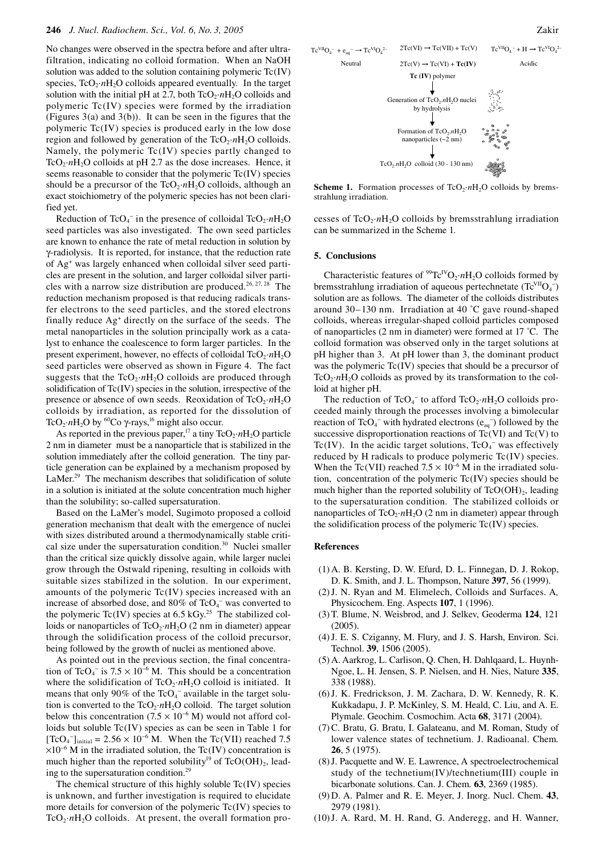No changes were observed in the spectra before and after ultrafiltration, indicating no colloid formation. When an NaOH solution was added to the solution containing polymeric Tc(IV) species,  $TcO_2 \cdot nH_2O$  colloids appeared eventually. In the target solution with the initial pH at 2.7, both  $TcO_2 \cdot nH_2O$  colloids and polymeric Tc(IV) species were formed by the irradiation (Figures 3(a) and 3(b)). It can be seen in the figures that the polymeric Tc(IV) species is produced early in the low dose region and followed by generation of the  $TcO_2 \cdot nH_2O$  colloids. Namely, the polymeric  $Tc(IV)$  species partly changed to TcO<sub>2</sub>· $nH_2O$  colloids at pH 2.7 as the dose increases. Hence, it seems reasonable to consider that the polymeric Tc(IV) species should be a precursor of the  $TcO_2 \cdot nH_2O$  colloids, although an exact stoichiometry of the polymeric species has not been clarified yet.

Reduction of  $TcO_4^-$  in the presence of colloidal  $TcO_2 \cdot nH_2O$ seed particles was also investigated. The own seed particles are known to enhance the rate of metal reduction in solution by γ-radiolysis. It is reported, for instance, that the reduction rate of Ag+ was largely enhanced when colloidal silver seed particles are present in the solution, and larger colloidal silver particles with a narrow size distribution are produced.<sup>26, 27, 28</sup> The reduction mechanism proposed is that reducing radicals transfer electrons to the seed particles, and the stored electrons finally reduce  $Ag<sup>+</sup>$  directly on the surface of the seeds. The metal nanoparticles in the solution principally work as a catalyst to enhance the coalescence to form larger particles. In the present experiment, however, no effects of colloidal  $TcO_2 \cdot nH_2O$ seed particles were observed as shown in Figure 4. The fact suggests that the  $TcO_2 \cdot nH_2O$  colloids are produced through solidification of  $Tc(IV)$  species in the solution, irrespective of the presence or absence of own seeds. Reoxidation of  $TcO_2 \cdot nH_2O$ colloids by irradiation, as reported for the dissolution of TcO<sub>2</sub>·*n*H<sub>2</sub>O by <sup>60</sup>Co γ-rays,<sup>16</sup> might also occur.

As reported in the previous paper,<sup>17</sup> a tiny  $TcO_2 \cdot nH_2O$  particle 2 nm in diameter must be a nanoparticle that is stabilized in the solution immediately after the colloid generation. The tiny particle generation can be explained by a mechanism proposed by LaMer.<sup>29</sup> The mechanism describes that solidification of solute in a solution is initiated at the solute concentration much higher than the solubility; so-called supersaturation.

Based on the LaMer's model, Sugimoto proposed a colloid generation mechanism that dealt with the emergence of nuclei with sizes distributed around a thermodynamically stable critical size under the supersaturation condition. $30$  Nuclei smaller than the critical size quickly dissolve again, while larger nuclei grow through the Ostwald ripening, resulting in colloids with suitable sizes stabilized in the solution. In our experiment, amounts of the polymeric Tc(IV) species increased with an increase of absorbed dose, and  $80\%$  of TcO<sub>4</sub><sup>-</sup> was converted to the polymeric Tc(IV) species at 6.5 kGy.<sup>25</sup> The stabilized colloids or nanoparticles of TcO<sub>2</sub>·*n*H<sub>2</sub>O (2 nm in diameter) appear through the solidification process of the colloid precursor, being followed by the growth of nuclei as mentioned above.

As pointed out in the previous section, the final concentration of TcO<sub>4</sub><sup>-</sup> is  $7.5 \times 10^{-6}$  M. This should be a concentration where the solidification of  $TcO_2 \cdot nH_2O$  colloid is initiated. It means that only 90% of the  $TcO<sub>4</sub><sup>-</sup>$  available in the target solution is converted to the  $TcO_2 \cdot nH_2O$  colloid. The target solution below this concentration (7.5  $\times$  10<sup>-6</sup> M) would not afford colloids but soluble Tc(IV) species as can be seen in Table 1 for  $[TcO_4^-]_{initial} = 2.56 \times 10^{-6}$  M. When the Tc(VII) reached 7.5 ×10<sup>−</sup><sup>6</sup> M in the irradiated solution, the Tc(IV) concentration is much higher than the reported solubility<sup>19</sup> of  $TcO(OH)_{2}$ , leading to the supersaturation condition.29

The chemical structure of this highly soluble Tc(IV) species is unknown, and further investigation is required to elucidate more details for conversion of the polymeric Tc(IV) species to  $TcO<sub>2</sub>·nH<sub>2</sub>O$  colloids. At present, the overall formation pro-



**Scheme 1.** Formation processes of  $TcO_2 \cdot nH_2O$  colloids by bremsstrahlung irradiation.

cesses of  $TcO_2 \cdot nH_2O$  colloids by bremsstrahlung irradiation can be summarized in the Scheme 1.

#### **5. Conclusions**

Characteristic features of  $^{99}Te^{IV}O_2 \cdot nH_2O$  colloids formed by bremsstrahlung irradiation of aqueous pertechnetate  $(Tc^{VII}O_4^-)$ solution are as follows. The diameter of the colloids distributes around 30–130 nm. Irradiation at 40 ˚C gave round-shaped colloids, whereas irregular-shaped colloid particles composed of nanoparticles (2 nm in diameter) were formed at 17 ˚C. The colloid formation was observed only in the target solutions at pH higher than 3. At pH lower than 3, the dominant product was the polymeric Tc(IV) species that should be a precursor of  $TcO<sub>2</sub>·nH<sub>2</sub>O$  colloids as proved by its transformation to the colloid at higher pH.

The reduction of  $TcO_4^-$  to afford  $TcO_2 \cdot nH_2O$  colloids proceeded mainly through the processes involving a bimolecular reaction of  $TcO_4^-$  with hydrated electrons  $(e_{aq}^-)$  followed by the successive disproportionation reactions of Tc(VI) and Tc(V) to Tc(IV). In the acidic target solutions,  $TcO<sub>4</sub>$ <sup>-</sup> was effectively reduced by H radicals to produce polymeric Tc(IV) species. When the Tc(VII) reached  $7.5 \times 10^{-6}$  M in the irradiated solution, concentration of the polymeric  $Tc(IV)$  species should be much higher than the reported solubility of  $TcO(OH)_{2}$ , leading to the supersaturation condition. The stabilized colloids or nanoparticles of  $TcO_2 \cdot nH_2O$  (2 nm in diameter) appear through the solidification process of the polymeric Tc(IV) species.

#### **References**

- (1) A. B. Kersting, D. W. Efurd, D. L. Finnegan, D. J. Rokop, D. K. Smith, and J. L. Thompson, Nature **397**, 56 (1999).
- (2) J. N. Ryan and M. Elimelech, Colloids and Surfaces. A*,*  Physicochem. Eng. Aspects **107**, 1 (1996).
- (3) T. Blume, N. Weisbrod, and J. Selkev, Geoderma **124**, 121 (2005).
- (4) J. E. S. Cziganny, M. Flury, and J. S. Harsh, Environ. Sci. Technol. **39**, 1506 (2005).
- (5) A. Aarkrog, L. Carlison, Q. Chen, H. Dahlqaard, L. Huynh-Ngoe, L. H. Jensen, S. P. Nielsen, and H. Nies, Nature **335**, 338 (1988).
- (6) J. K. Fredrickson, J. M. Zachara, D. W. Kennedy, R. K. Kukkadapu, J. P. McKinley, S. M. Heald, C. Liu, and A. E. Plymale. Geochim. Cosmochim. Acta **68**, 3171 (2004).
- (7) C. Bratu, G. Bratu, I. Galateanu, and M. Roman, Study of lower valence states of technetium. J. Radioanal. Chem*.* **26**, 5 (1975).
- (8) J. Pacquette and W. E. Lawrence, A spectroelectrochemical study of the technetium(IV)/technetium(III) couple in bicarbonate solutions. Can. J. Chem*.* **63**, 2369 (1985).
- (9) D. A. Palmer and R. E. Meyer, J. Inorg. Nucl. Chem. **43**, 2979 (1981).
- (10) J. A. Rard, M. H. Rand, G. Anderegg, and H. Wanner,